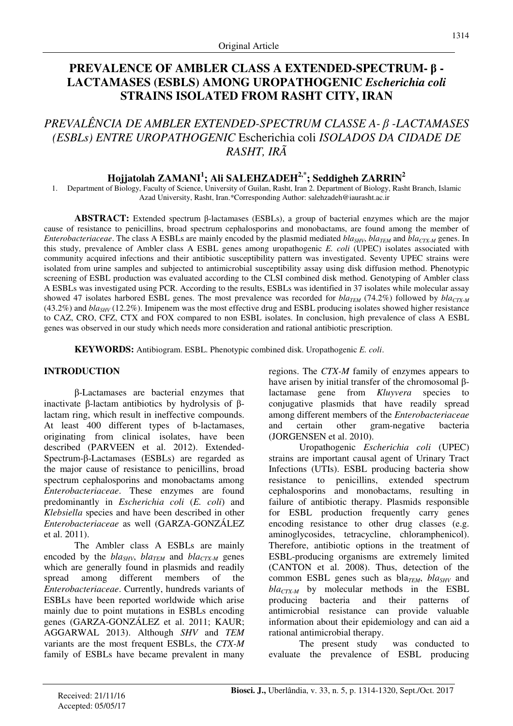# **PREVALENCE OF AMBLER CLASS A EXTENDED-SPECTRUM-** β **- LACTAMASES (ESBLS) AMONG UROPATHOGENIC** *Escherichia coli* **STRAINS ISOLATED FROM RASHT CITY, IRAN**

# *PREVALÊNCIA DE AMBLER EXTENDED-SPECTRUM CLASSE A-* β *-LACTAMASES (ESBLs) ENTRE UROPATHOGENIC* Escherichia coli *ISOLADOS DA CIDADE DE RASHT, IRÃ*

## **Hojjatolah ZAMANI<sup>1</sup> ; Ali SALEHZADEH2,\*; Seddigheh ZARRIN<sup>2</sup>**

1. Department of Biology, Faculty of Science, University of Guilan, Rasht, Iran 2. Department of Biology, Rasht Branch, Islamic Azad University, Rasht, Iran.\*Corresponding Author: salehzadeh@iaurasht.ac.ir

**ABSTRACT:** Extended spectrum β-lactamases (ESBLs), a group of bacterial enzymes which are the major cause of resistance to penicillins, broad spectrum cephalosporins and monobactams, are found among the member of *Enterobacteriaceae*. The class A ESBLs are mainly encoded by the plasmid mediated *blaSHV*, *blaTEM* and *blaCTX-M* genes. In this study, prevalence of Ambler class A ESBL genes among uropathogenic *E. coli* (UPEC) isolates associated with community acquired infections and their antibiotic susceptibility pattern was investigated. Seventy UPEC strains were isolated from urine samples and subjected to antimicrobial susceptibility assay using disk diffusion method. Phenotypic screening of ESBL production was evaluated according to the CLSI combined disk method. Genotyping of Ambler class A ESBLs was investigated using PCR. According to the results, ESBLs was identified in 37 isolates while molecular assay showed 47 isolates harbored ESBL genes. The most prevalence was recorded for *bla<sub>TEM</sub>* (74.2%) followed by *blactyM* (43.2%) and *blaSHV* (12.2%). Imipenem was the most effective drug and ESBL producing isolates showed higher resistance to CAZ, CRO, CFZ, CTX and FOX compared to non ESBL isolates. In conclusion, high prevalence of class A ESBL genes was observed in our study which needs more consideration and rational antibiotic prescription.

**KEYWORDS:** Antibiogram. ESBL. Phenotypic combined disk. Uropathogenic *E. coli*.

## **INTRODUCTION**

β-Lactamases are bacterial enzymes that inactivate β-lactam antibiotics by hydrolysis of βlactam ring, which result in ineffective compounds. At least 400 different types of b-lactamases, originating from clinical isolates, have been described (PARVEEN et al. 2012). Extended-Spectrum-β-Lactamases (ESBLs) are regarded as the major cause of resistance to penicillins, broad spectrum cephalosporins and monobactams among *Enterobacteriaceae*. These enzymes are found predominantly in *Escherichia coli* (*E. coli*) and *Klebsiella* species and have been described in other *Enterobacteriaceae* as well (GARZA-GONZÁLEZ et al. 2011).

The Ambler class A ESBLs are mainly encoded by the *bla*<sub>*SHV</sub>*, *bla<sub>TEM</sub>* and *bla<sub>CTX-M</sub>* genes</sub> which are generally found in plasmids and readily spread among different members of the *Enterobacteriaceae*. Currently, hundreds variants of ESBLs have been reported worldwide which arise mainly due to point mutations in ESBLs encoding genes (GARZA-GONZÁLEZ et al. 2011; KAUR; AGGARWAL 2013). Although *SHV* and *TEM* variants are the most frequent ESBLs, the *CTX-M* family of ESBLs have became prevalent in many regions. The *CTX-M* family of enzymes appears to have arisen by initial transfer of the chromosomal βlactamase gene from *Kluyvera* species to conjugative plasmids that have readily spread among different members of the *Enterobacteriaceae*  and certain other gram-negative bacteria (JORGENSEN et al. 2010).

Uropathogenic *Escherichia coli* (UPEC) strains are important causal agent of Urinary Tract Infections (UTIs). ESBL producing bacteria show resistance to penicillins, extended spectrum cephalosporins and monobactams, resulting in failure of antibiotic therapy. Plasmids responsible for ESBL production frequently carry genes encoding resistance to other drug classes (e.g. aminoglycosides, tetracycline, chloramphenicol). Therefore, antibiotic options in the treatment of ESBL-producing organisms are extremely limited (CANTON et al. 2008). Thus, detection of the common ESBL genes such as bla<sub>*TEM</sub>*, *bla*<sub>*SHV*</sub> and</sub> *blaCTX-M* by molecular methods in the ESBL producing bacteria and their patterns of antimicrobial resistance can provide valuable information about their epidemiology and can aid a rational antimicrobial therapy.

The present study was conducted to evaluate the prevalence of ESBL producing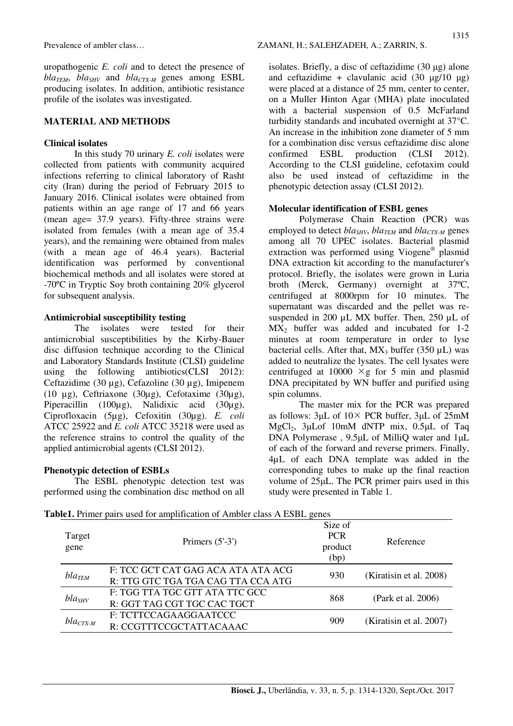uropathogenic *E. coli* and to detect the presence of  $bla_{TEM}$ ,  $bla_{SHV}$  and  $bla_{CTX-M}$  genes among ESBL producing isolates. In addition, antibiotic resistance profile of the isolates was investigated.

### **MATERIAL AND METHODS**

#### **Clinical isolates**

In this study 70 urinary *E. coli* isolates were collected from patients with community acquired infections referring to clinical laboratory of Rasht city (Iran) during the period of February 2015 to January 2016. Clinical isolates were obtained from patients within an age range of 17 and 66 years (mean age= 37.9 years). Fifty-three strains were isolated from females (with a mean age of 35.4 years), and the remaining were obtained from males (with a mean age of 46.4 years). Bacterial identification was performed by conventional biochemical methods and all isolates were stored at -70ºC in Tryptic Soy broth containing 20% glycerol for subsequent analysis.

#### **Antimicrobial susceptibility testing**

The isolates were tested for their antimicrobial susceptibilities by the Kirby-Bauer disc diffusion technique according to the Clinical and Laboratory Standards Institute (CLSI) guideline using the following antibiotics(CLSI 2012): Ceftazidime (30 µg), Cefazoline (30 µg), Imipenem (10 µg), Ceftriaxone (30µg), Cefotaxime (30µg), Piperacillin (100µg), Nalidixic acid (30µg), Ciprofloxacin (5µg), Cefoxitin (30µg). *E. coli* ATCC 25922 and *E. coli* ATCC 35218 were used as the reference strains to control the quality of the applied antimicrobial agents (CLSI 2012).

### **Phenotypic detection of ESBLs**

The ESBL phenotypic detection test was performed using the combination disc method on all isolates. Briefly, a disc of ceftazidime (30 µg) alone and ceftazidime + clavulanic acid  $(30 \text{ µg}/10 \text{ µg})$ were placed at a distance of 25 mm, center to center, on a Muller Hinton Agar (MHA) plate inoculated with a bacterial suspension of 0.5 McFarland turbidity standards and incubated overnight at 37°C. An increase in the inhibition zone diameter of 5 mm for a combination disc versus ceftazidime disc alone confirmed ESBL production (CLSI 2012). According to the CLSI guideline, cefotaxim could also be used instead of ceftazidime in the phenotypic detection assay (CLSI 2012).

#### **Molecular identification of ESBL genes**

Polymerase Chain Reaction (PCR) was employed to detect *blaSHV*, *blaTEM* and *blaCTX-M* genes among all 70 UPEC isolates. Bacterial plasmid extraction was performed using Viogene® plasmid DNA extraction kit according to the manufacturer's protocol. Briefly, the isolates were grown in Luria broth (Merck, Germany) overnight at 37ºC, centrifuged at 8000rpm for 10 minutes. The supernatant was discarded and the pellet was resuspended in 200 µL MX buffer. Then, 250 µL of  $MX_2$  buffer was added and incubated for 1-2 minutes at room temperature in order to lyse bacterial cells. After that,  $MX_3$  buffer (350  $\mu$ L) was added to neutralize the lysates. The cell lysates were centrifuged at 10000  $\times g$  for 5 min and plasmid DNA precipitated by WN buffer and purified using spin columns.

The master mix for the PCR was prepared as follows:  $3\mu$ L of  $10\times$  PCR buffer,  $3\mu$ L of  $25m$ M MgCl2, 3µLof 10mM dNTP mix, 0.5µL of Taq DNA Polymerase , 9.5µL of MilliQ water and 1µL of each of the forward and reverse primers. Finally, 4µL of each DNA template was added in the corresponding tubes to make up the final reaction volume of 25µL. The PCR primer pairs used in this study were presented in Table 1.

| Target<br>gene       | Primers $(5'-3')$                                                        | Size of<br><b>PCR</b><br>product<br>(bp) | Reference               |
|----------------------|--------------------------------------------------------------------------|------------------------------------------|-------------------------|
| $bla$ <sub>TEM</sub> | F: TCC GCT CAT GAG ACA ATA ATA ACG<br>R: TTG GTC TGA TGA CAG TTA CCA ATG | 930                                      | (Kiratisin et al. 2008) |
| $bla_{SHV}$          | F: TGG TTA TGC GTT ATA TTC GCC<br>R: GGT TAG CGT TGC CAC TGCT            | 868                                      | (Park et al. 2006)      |
| $bla_{CTX-M}$        | F: TCTTCCAGAAGGAATCCC<br>R: CCGTTTCCGCTATTACAAAC                         | 909                                      | (Kiratisin et al. 2007) |

**Table1.** Primer pairs used for amplification of Ambler class A ESBL genes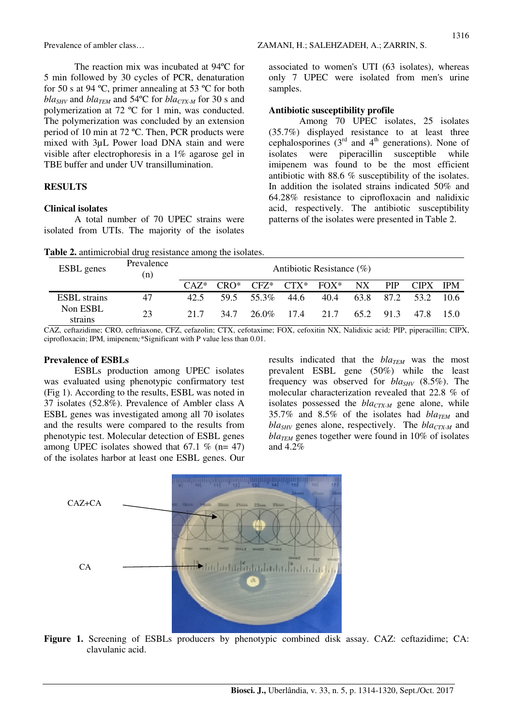The reaction mix was incubated at 94ºC for 5 min followed by 30 cycles of PCR, denaturation for 50 s at 94 ºC, primer annealing at 53 ºC for both  $bla_{SHV}$  and  $bla_{TEM}$  and 54°C for  $bla_{CTX-M}$  for 30 s and polymerization at 72 ºC for 1 min, was conducted. The polymerization was concluded by an extension period of 10 min at 72 ºC. Then, PCR products were mixed with 3µL Power load DNA stain and were visible after electrophoresis in a 1% agarose gel in TBE buffer and under UV transillumination.

### **RESULTS**

#### **Clinical isolates**

A total number of 70 UPEC strains were isolated from UTIs. The majority of the isolates

associated to women's UTI (63 isolates), whereas only 7 UPEC were isolated from men's urine samples.

#### **Antibiotic susceptibility profile**

Among 70 UPEC isolates, 25 isolates (35.7%) displayed resistance to at least three cephalosporines  $(3<sup>rd</sup>$  and  $4<sup>th</sup>$  generations). None of isolates were piperacillin susceptible while imipenem was found to be the most efficient antibiotic with 88.6 % susceptibility of the isolates. In addition the isolated strains indicated 50% and 64.28% resistance to ciprofloxacin and nalidixic acid, respectively. The antibiotic susceptibility patterns of the isolates were presented in Table 2.

|  |  | Table 2. antimicrobial drug resistance among the isolates. |  |  |
|--|--|------------------------------------------------------------|--|--|
|  |  |                                                            |  |  |

| <b>ESBL</b> genes   | Prevalence<br>(n) | Antibiotic Resistance $(\%)$ |         |         |         |         |                 |            |             |            |
|---------------------|-------------------|------------------------------|---------|---------|---------|---------|-----------------|------------|-------------|------------|
|                     |                   | $CAY^*$                      | $CRO^*$ | $CFZ^*$ | $CTX^*$ | $FOX^*$ | NX <sup>1</sup> | <b>PIP</b> | <b>CIPX</b> | <b>IPM</b> |
| <b>ESBL</b> strains | 47                | 42.5                         | 59.5    | 55.3%   | 44.6    | 40.4    | 63.8            | 87.2       | 53.2        | 10.6       |
| Non ESBL<br>strains | 23                | 21.7                         | 34.7    | 26.0%   | 17.4    | 21.7    | 65.2            | 91.3       | 47.8        | 150        |

CAZ, ceftazidime; CRO, ceftriaxone, CFZ, cefazolin; CTX, cefotaxime; FOX, cefoxitin NX, Nalidixic acid*;* PIP, piperacillin; CIPX, ciprofloxacin; IPM*,* imipenem*;*\*Significant with P value less than 0.01.

#### **Prevalence of ESBLs**

ESBLs production among UPEC isolates was evaluated using phenotypic confirmatory test (Fig 1). According to the results, ESBL was noted in 37 isolates (52.8%). Prevalence of Ambler class A ESBL genes was investigated among all 70 isolates and the results were compared to the results from phenotypic test. Molecular detection of ESBL genes among UPEC isolates showed that  $67.1 \%$  (n= 47) of the isolates harbor at least one ESBL genes. Our

results indicated that the *blaTEM* was the most prevalent ESBL gene (50%) while the least frequency was observed for *blaSHV* (8.5%). The molecular characterization revealed that 22.8 % of isolates possessed the *blaCTX-M* gene alone, while 35.7% and 8.5% of the isolates had *blaTEM* and *blaSHV* genes alone, respectively. The *blaCTX-M* and  $bla_{TEM}$  genes together were found in 10% of isolates and 4.2%



**Figure 1.** Screening of ESBLs producers by phenotypic combined disk assay. CAZ: ceftazidime; CA: clavulanic acid.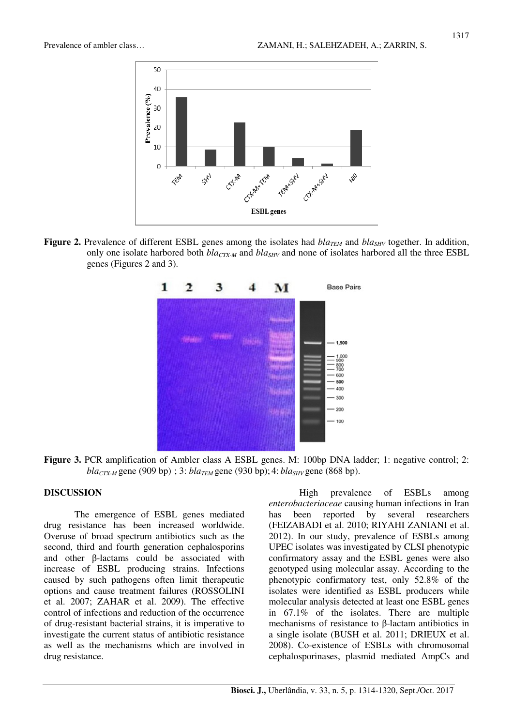

**Figure 2.** Prevalence of different ESBL genes among the isolates had *blaTEM* and *blaSHV* together. In addition, only one isolate harbored both *blaCTX-M* and *blaSHV* and none of isolates harbored all the three ESBL genes (Figures 2 and 3).



**Figure 3.** PCR amplification of Ambler class A ESBL genes. M: 100bp DNA ladder; 1: negative control; 2: *blaCTX-M* gene (909 bp) ; 3: *blaTEM* gene (930 bp); 4: *blaSHV* gene (868 bp).

### **DISCUSSION**

The emergence of ESBL genes mediated drug resistance has been increased worldwide. Overuse of broad spectrum antibiotics such as the second, third and fourth generation cephalosporins and other β-lactams could be associated with increase of ESBL producing strains. Infections caused by such pathogens often limit therapeutic options and cause treatment failures (ROSSOLINI et al. 2007; ZAHAR et al. 2009). The effective control of infections and reduction of the occurrence of drug-resistant bacterial strains, it is imperative to investigate the current status of antibiotic resistance as well as the mechanisms which are involved in drug resistance.

High prevalence of ESBLs among *enterobacteriaceae* causing human infections in Iran has been reported by several researchers (FEIZABADI et al. 2010; RIYAHI ZANIANI et al. 2012). In our study, prevalence of ESBLs among UPEC isolates was investigated by CLSI phenotypic confirmatory assay and the ESBL genes were also genotyped using molecular assay. According to the phenotypic confirmatory test, only 52.8% of the isolates were identified as ESBL producers while molecular analysis detected at least one ESBL genes in 67.1% of the isolates. There are multiple mechanisms of resistance to β-lactam antibiotics in a single isolate (BUSH et al. 2011; DRIEUX et al. 2008). Co-existence of ESBLs with chromosomal cephalosporinases, plasmid mediated AmpCs and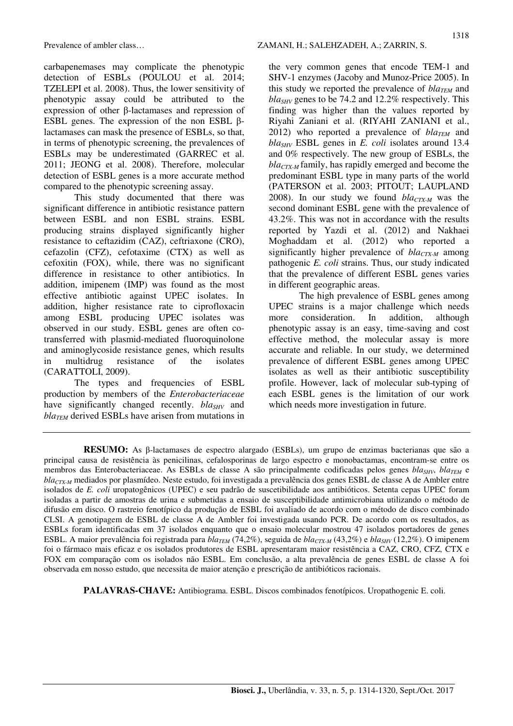carbapenemases may complicate the phenotypic detection of ESBLs (POULOU et al. 2014; TZELEPI et al. 2008). Thus, the lower sensitivity of phenotypic assay could be attributed to the expression of other β-lactamases and repression of ESBL genes. The expression of the non ESBL βlactamases can mask the presence of ESBLs, so that, in terms of phenotypic screening, the prevalences of ESBLs may be underestimated (GARREC et al. 2011; JEONG et al. 2008). Therefore, molecular detection of ESBL genes is a more accurate method compared to the phenotypic screening assay.

This study documented that there was significant difference in antibiotic resistance pattern between ESBL and non ESBL strains. ESBL producing strains displayed significantly higher resistance to ceftazidim (CAZ), ceftriaxone (CRO), cefazolin (CFZ), cefotaxime (CTX) as well as cefoxitin (FOX), while, there was no significant difference in resistance to other antibiotics. In addition, imipenem (IMP) was found as the most effective antibiotic against UPEC isolates. In addition, higher resistance rate to ciprofloxacin among ESBL producing UPEC isolates was observed in our study. ESBL genes are often cotransferred with plasmid-mediated fluoroquinolone and aminoglycoside resistance genes, which results in multidrug resistance of the isolates (CARATTOLI, 2009).

The types and frequencies of ESBL production by members of the *Enterobacteriaceae* have significantly changed recently. *bla<sub>SHV</sub>* and  $bla<sub>TEM</sub>$  derived ESBLs have arisen from mutations in

the very common genes that encode TEM-1 and SHV-1 enzymes (Jacoby and Munoz-Price 2005). In this study we reported the prevalence of  $bla_{TEM}$  and *blaSHV* genes to be 74.2 and 12.2% respectively. This finding was higher than the values reported by Riyahi Zaniani et al. (RIYAHI ZANIANI et al., 2012) who reported a prevalence of  $bla_{TEM}$  and *blaSHV* ESBL genes in *E. coli* isolates around 13.4 and 0% respectively. The new group of ESBLs, the *blaCTX-M* family, has rapidly emerged and become the predominant ESBL type in many parts of the world (PATERSON et al. 2003; PITOUT; LAUPLAND 2008). In our study we found *blaCTX-M* was the second dominant ESBL gene with the prevalence of 43.2%. This was not in accordance with the results reported by Yazdi et al. (2012) and Nakhaei Moghaddam et al. (2012) who reported a significantly higher prevalence of *blaCTX-M* among pathogenic *E. coli* strains. Thus, our study indicated that the prevalence of different ESBL genes varies in different geographic areas.

The high prevalence of ESBL genes among UPEC strains is a major challenge which needs more consideration. In addition, although phenotypic assay is an easy, time-saving and cost effective method, the molecular assay is more accurate and reliable. In our study, we determined prevalence of different ESBL genes among UPEC isolates as well as their antibiotic susceptibility profile. However, lack of molecular sub-typing of each ESBL genes is the limitation of our work which needs more investigation in future.

 **PALAVRAS-CHAVE:** Antibiograma. ESBL. Discos combinados fenotípicos. Uropathogenic E. coli.

**RESUMO:** As β-lactamases de espectro alargado (ESBLs), um grupo de enzimas bacterianas que são a principal causa de resistência às penicilinas, cefalosporinas de largo espectro e monobactamas, encontram-se entre os membros das Enterobacteriaceae. As ESBLs de classe A são principalmente codificadas pelos genes *blaSHV*, *blaTEM* e *blaCTX-M* mediados por plasmídeo. Neste estudo, foi investigada a prevalência dos genes ESBL de classe A de Ambler entre isolados de *E. coli* uropatogênicos (UPEC) e seu padrão de suscetibilidade aos antibióticos. Setenta cepas UPEC foram isoladas a partir de amostras de urina e submetidas a ensaio de susceptibilidade antimicrobiana utilizando o método de difusão em disco. O rastreio fenotípico da produção de ESBL foi avaliado de acordo com o método de disco combinado CLSI. A genotipagem de ESBL de classe A de Ambler foi investigada usando PCR. De acordo com os resultados, as ESBLs foram identificadas em 37 isolados enquanto que o ensaio molecular mostrou 47 isolados portadores de genes ESBL. A maior prevalência foi registrada para *blaTEM* (74,2%), seguida de *blaCTX-M* (43,2%) e *blaSHV* (12,2%). O imipenem foi o fármaco mais eficaz e os isolados produtores de ESBL apresentaram maior resistência a CAZ, CRO, CFZ, CTX e FOX em comparação com os isolados não ESBL. Em conclusão, a alta prevalência de genes ESBL de classe A foi observada em nosso estudo, que necessita de maior atenção e prescrição de antibióticos racionais.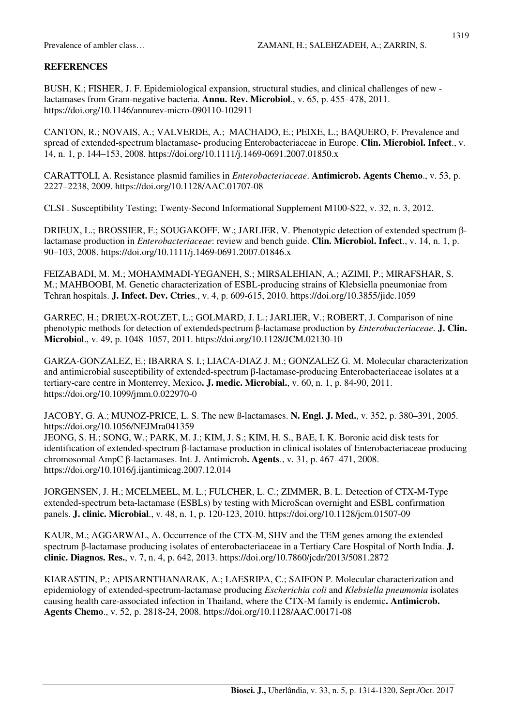### **REFERENCES**

BUSH, K.; FISHER, J. F. Epidemiological expansion, structural studies, and clinical challenges of new lactamases from Gram-negative bacteria. **Annu. Rev. Microbiol**., v. 65, p. 455–478, 2011. https://doi.org/10.1146/annurev-micro-090110-102911

CANTON, R.; NOVAIS, A.; VALVERDE, A.; MACHADO, E.; PEIXE, L.; BAQUERO, F. Prevalence and spread of extended-spectrum blactamase- producing Enterobacteriaceae in Europe. **Clin. Microbiol. Infect**., v. 14, n. 1, p. 144–153, 2008. https://doi.org/10.1111/j.1469-0691.2007.01850.x

CARATTOLI, A. Resistance plasmid families in *Enterobacteriaceae*. **Antimicrob. Agents Chemo**., v. 53, p. 2227–2238, 2009. https://doi.org/10.1128/AAC.01707-08

CLSI . Susceptibility Testing; Twenty-Second Informational Supplement M100-S22, v. 32, n. 3, 2012.

DRIEUX, L.; BROSSIER, F.; SOUGAKOFF, W.; JARLIER, V. Phenotypic detection of extended spectrum βlactamase production in *Enterobacteriaceae*: review and bench guide. **Clin. Microbiol. Infect**., v. 14, n. 1, p. 90–103, 2008. https://doi.org/10.1111/j.1469-0691.2007.01846.x

FEIZABADI, M. M.; MOHAMMADI-YEGANEH, S.; MIRSALEHIAN, A.; AZIMI, P.; MIRAFSHAR, S. M.; MAHBOOBI, M. Genetic characterization of ESBL-producing strains of Klebsiella pneumoniae from Tehran hospitals. **J. Infect. Dev. Ctries**., v. 4, p. 609-615, 2010. https://doi.org/10.3855/jidc.1059

GARREC, H.; DRIEUX-ROUZET, L.; GOLMARD, J. L.; JARLIER, V.; ROBERT, J. Comparison of nine phenotypic methods for detection of extendedspectrum β-lactamase production by *Enterobacteriaceae*. **J. Clin. Microbiol**., v. 49, p. 1048–1057, 2011. https://doi.org/10.1128/JCM.02130-10

GARZA-GONZALEZ, E.; IBARRA S. I.; LIACA-DIAZ J. M.; GONZALEZ G. M. Molecular characterization and antimicrobial susceptibility of extended-spectrum β-lactamase-producing Enterobacteriaceae isolates at a tertiary-care centre in Monterrey, Mexico**. J. medic. Microbial.**, v. 60, n. 1, p. 84-90, 2011. https://doi.org/10.1099/jmm.0.022970-0

JACOBY, G. A.; MUNOZ-PRICE, L. S. The new ß-lactamases. **N. Engl. J. Med.**, v. 352, p. 380–391, 2005. https://doi.org/10.1056/NEJMra041359

JEONG, S. H.; SONG, W.; PARK, M. J.; KIM, J. S.; KIM, H. S., BAE, I. K. Boronic acid disk tests for identification of extended-spectrum β-lactamase production in clinical isolates of Enterobacteriaceae producing chromosomal AmpC β-lactamases. Int. J. Antimicrob**. Agents**., v. 31, p. 467–471, 2008. https://doi.org/10.1016/j.ijantimicag.2007.12.014

JORGENSEN, J. H.; MCELMEEL, M. L.; FULCHER, L. C.; ZIMMER, B. L. Detection of CTX-M-Type extended-spectrum beta-lactamase (ESBLs) by testing with MicroScan overnight and ESBL confirmation panels. **J. clinic. Microbial**., v. 48, n. 1, p. 120-123, 2010. https://doi.org/10.1128/jcm.01507-09

KAUR, M.; AGGARWAL, A. Occurrence of the CTX-M, SHV and the TEM genes among the extended spectrum β-lactamase producing isolates of enterobacteriaceae in a Tertiary Care Hospital of North India. **J. clinic. Diagnos. Res.**, v. 7, n. 4, p. 642, 2013. https://doi.org/10.7860/jcdr/2013/5081.2872

KIARASTIN, P.; APISARNTHANARAK, A.; LAESRIPA, C.; SAIFON P. Molecular characterization and epidemiology of extended-spectrum-lactamase producing *Escherichia coli* and *Klebsiella pneumonia* isolates causing health care-associated infection in Thailand, where the CTX-M family is endemic**. Antimicrob. Agents Chemo**., v. 52, p. 2818-24, 2008. https://doi.org/10.1128/AAC.00171-08